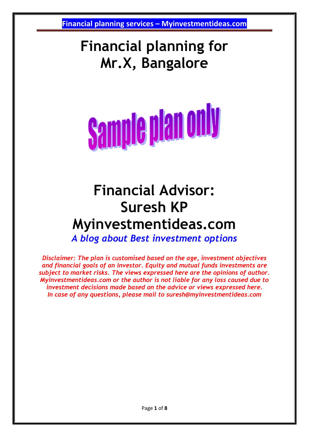### **Financial planning for Mr.X, Bangalore**

**Sample plan only** 

## **Financial Advisor: Suresh KP Myinvestmentideas.com**

*A blog about Best investment options*

*Disclaimer: The plan is customised based on the age, investment objectives and financial goals of an investor. Equity and mutual funds investments are subject to market risks. The views expressed here are the opinions of author. Myinvestmentideas.com or the author is not liable for any loss caused due to investment decisions made based on the advice or views expressed here. In case of any questions, please mail to suresh@myinvestmentideas.com*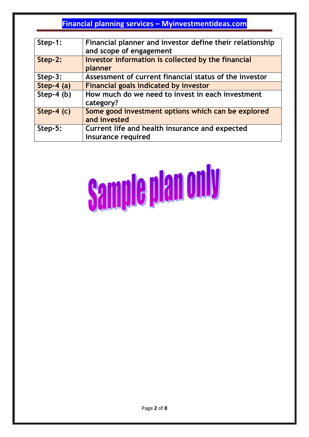| Step-1:      | Financial planner and investor define their relationship<br>and scope of engagement |
|--------------|-------------------------------------------------------------------------------------|
| Step-2:      | Investor information is collected by the financial<br>planner                       |
| Step-3:      | Assessment of current financial status of the investor                              |
| Step-4 $(a)$ | <b>Financial goals indicated by investor</b>                                        |
| Step-4 $(b)$ | How much do we need to invest in each investment<br>category?                       |
| Step-4 $(c)$ | Some good investment options which can be explored<br>and invested                  |
| Step-5:      | Current life and health insurance and expected<br>insurance required                |

# **Sample plan only**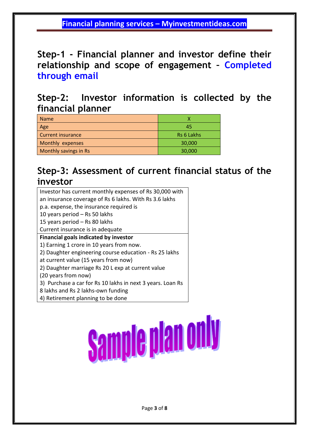**Step-1 - Financial planner and investor define their relationship and scope of engagement – Completed through email**

**Step-2: Investor information is collected by the financial planner** 

| <b>Name</b>              |                   |
|--------------------------|-------------------|
| Age                      | 45                |
| <b>Current insurance</b> | <b>Rs 6 Lakhs</b> |
| Monthly expenses         | 30,000            |
| Monthly savings in Rs    | 30,000            |

#### **Step-3: Assessment of current financial status of the investor**

| Investor has current monthly expenses of Rs 30,000 with    |  |  |  |  |
|------------------------------------------------------------|--|--|--|--|
| an insurance coverage of Rs 6 lakhs. With Rs 3.6 lakhs     |  |  |  |  |
| p.a. expense, the insurance required is                    |  |  |  |  |
| 10 years period - Rs 50 lakhs                              |  |  |  |  |
| 15 years period - Rs 80 lakhs                              |  |  |  |  |
| Current insurance is in adequate                           |  |  |  |  |
| <b>Financial goals indicated by investor</b>               |  |  |  |  |
| 1) Earning 1 crore in 10 years from now.                   |  |  |  |  |
| 2) Daughter engineering course education - Rs 25 lakhs     |  |  |  |  |
| at current value (15 years from now)                       |  |  |  |  |
| 2) Daughter marriage Rs 20 L exp at current value          |  |  |  |  |
| (20 years from now)                                        |  |  |  |  |
| 3) Purchase a car for Rs 10 lakhs in next 3 years. Loan Rs |  |  |  |  |
| 8 lakhs and Rs 2 lakhs-own funding                         |  |  |  |  |
| 4) Retirement planning to be done                          |  |  |  |  |

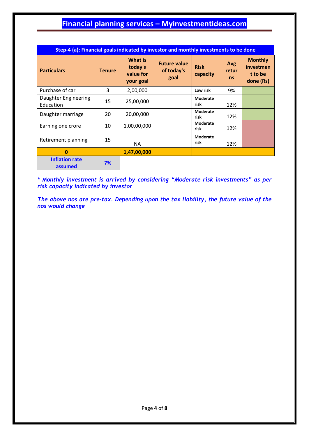| Step-4 (a): Financial goals indicated by investor and monthly investments to be done |               |                                              |                                           |                         |                           |                                                     |
|--------------------------------------------------------------------------------------|---------------|----------------------------------------------|-------------------------------------------|-------------------------|---------------------------|-----------------------------------------------------|
| <b>Particulars</b>                                                                   | <b>Tenure</b> | What is<br>today's<br>value for<br>your goal | <b>Future value</b><br>of today's<br>goal | <b>Risk</b><br>capacity | Avg<br>retur<br><b>ns</b> | <b>Monthly</b><br>investmen<br>t to be<br>done (Rs) |
| Purchase of car                                                                      | 3             | 2,00,000                                     |                                           | Low risk                | 9%                        |                                                     |
| Daughter Engineering<br>Education                                                    | 15            | 25,00,000                                    |                                           | <b>Moderate</b><br>risk | 12%                       |                                                     |
| Daughter marriage                                                                    | 20            | 20,00,000                                    |                                           | <b>Moderate</b><br>risk | 12%                       |                                                     |
| Earning one crore                                                                    | 10            | 1,00,00,000                                  |                                           | Moderate<br>risk        | 12%                       |                                                     |
| Retirement planning                                                                  | 15            | <b>NA</b>                                    |                                           | Moderate<br>risk        | 12%                       |                                                     |
| $\bf{0}$                                                                             |               | 1,47,00,000                                  |                                           |                         |                           |                                                     |
| <b>Inflation rate</b><br>assumed                                                     | 7%            |                                              |                                           |                         |                           |                                                     |

*\* Monthly investment is arrived by considering "Moderate risk investments" as per risk capacity indicated by investor*

*The above nos are pre-tax. Depending upon the tax liability, the future value of the nos would change*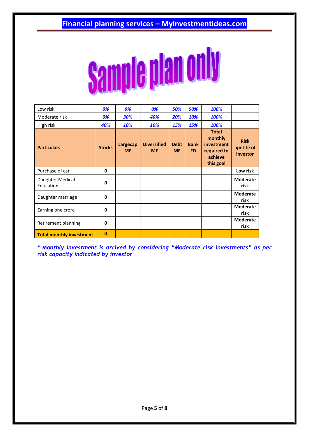

| Low risk                      | 0%            | 0%                    | 0%                              | 50%                      | 50%                      | 100%                                                                         |                                       |
|-------------------------------|---------------|-----------------------|---------------------------------|--------------------------|--------------------------|------------------------------------------------------------------------------|---------------------------------------|
| Moderate risk                 | 0%            | 30%                   | 40%                             | 20%                      | 10%                      | 100%                                                                         |                                       |
| High risk                     | 40%           | 10%                   | 10%                             | 15%                      | 15%                      | 100%                                                                         |                                       |
| <b>Particulars</b>            | <b>Stocks</b> | Largecap<br><b>MF</b> | <b>Diversified</b><br><b>MF</b> | <b>Debt</b><br><b>MF</b> | <b>Bank</b><br><b>FD</b> | <b>Total</b><br>monthly<br>investment<br>required to<br>achieve<br>this goal | <b>Risk</b><br>apetite of<br>investor |
| Purchase of car               | 0             |                       |                                 |                          |                          |                                                                              | Low risk                              |
| Daughter Medical<br>Education | $\mathbf 0$   |                       |                                 |                          |                          |                                                                              | <b>Moderate</b><br>risk               |
| Daughter marriage             | 0             |                       |                                 |                          |                          |                                                                              | <b>Moderate</b><br>risk               |
| Earning one crore             | $\mathbf{0}$  |                       |                                 |                          |                          |                                                                              | <b>Moderate</b><br>risk               |
| Retirement planning           | 0             |                       |                                 |                          |                          |                                                                              | <b>Moderate</b><br>risk               |
| Total monthly investment      | $\bf{0}$      |                       |                                 |                          |                          |                                                                              |                                       |

*\* Monthly investment is arrived by considering "Moderate risk investments" as per risk capacity indicated by investor*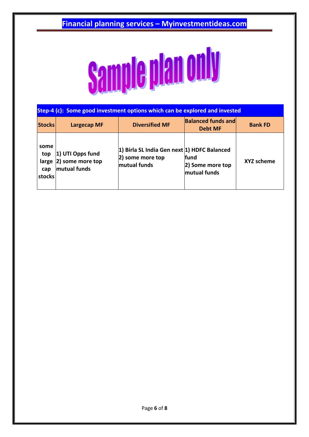

| Step-4 (c): Some good investment options which can be explored and invested |                                                      |                                                                                 |                                             |                   |  |
|-----------------------------------------------------------------------------|------------------------------------------------------|---------------------------------------------------------------------------------|---------------------------------------------|-------------------|--|
| <b>Stocks</b>                                                               | <b>Largecap MF</b>                                   | <b>Diversified MF</b>                                                           | <b>Balanced funds and</b><br><b>Debt MF</b> | <b>Bank FD</b>    |  |
| some<br>top<br>large<br>cap<br>stocks                                       | 1) UTI Opps fund<br>2) some more top<br>mutual funds | 1) Birla SL India Gen next 1) HDFC Balanced<br>2) some more top<br>mutual funds | lfund<br>2) Some more top<br>mutual funds   | <b>XYZ scheme</b> |  |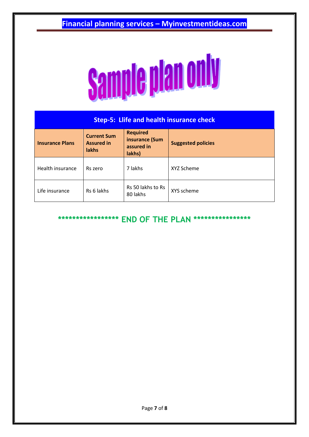

| <b>Step-5: Llife and health insurance check</b> |                                                         |                                                           |                           |  |  |
|-------------------------------------------------|---------------------------------------------------------|-----------------------------------------------------------|---------------------------|--|--|
| <b>Insurance Plans</b>                          | <b>Current Sum</b><br><b>Assured in</b><br><b>lakhs</b> | <b>Required</b><br>insurance (Sum<br>assured in<br>lakhs) | <b>Suggested policies</b> |  |  |
| Health insurance                                | Rs zero                                                 | 7 lakhs                                                   | XYZ Scheme                |  |  |
| Life insurance                                  | Rs 6 lakhs                                              | Rs 50 lakhs to Rs<br>80 lakhs                             | XYS scheme                |  |  |

**\*\*\*\*\*\*\*\*\*\*\*\*\*\*\*\*\* END OF THE PLAN \*\*\*\*\*\*\*\*\*\*\*\*\*\*\*\***